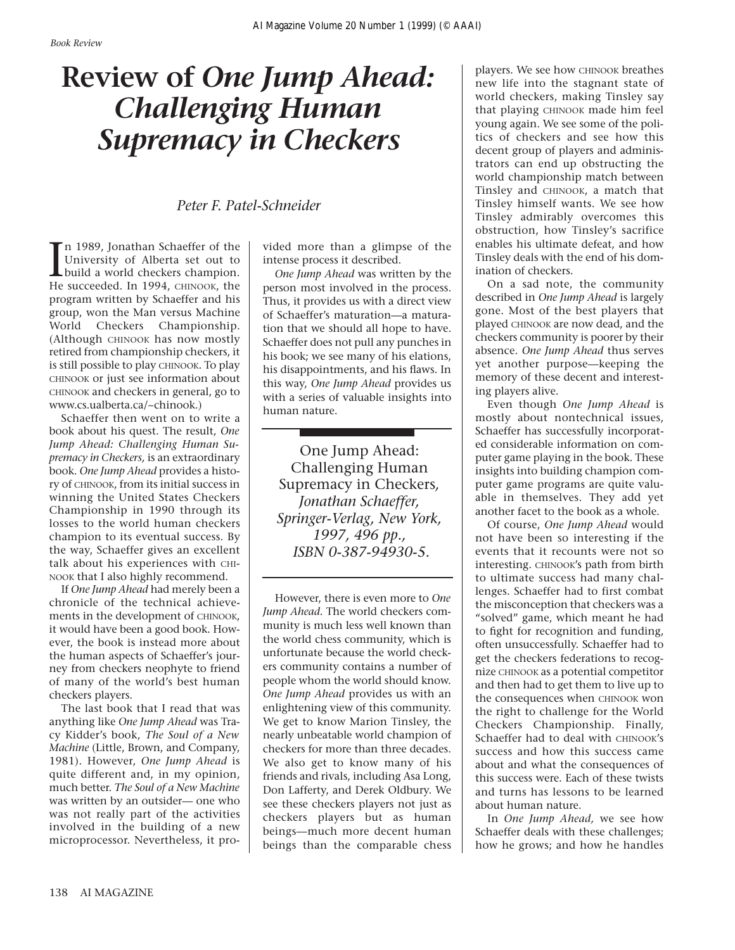## **Review of** *One Jump Ahead: Challenging Human Supremacy in Checkers*

## *Peter F. Patel-Schneider*

In 1989, Jonathan Schaeffer of the<br>University of Alberta set out to<br>build a world checkers champion.<br>He succeeded. In 1994, CHINOOK, the n 1989, Jonathan Schaeffer of the University of Alberta set out to build a world checkers champion. program written by Schaeffer and his group, won the Man versus Machine World Checkers Championship. (Although CHINOOK has now mostly retired from championship checkers, it is still possible to play CHINOOK. To play CHINOOK or just see information about CHINOOK and checkers in general, go to www.cs.ualberta.ca/~chinook.)

Schaeffer then went on to write a book about his quest. The result, *One Jump Ahead: Challenging Human Supremacy in Checkers,* is an extraordinary book. *One Jump Ahead* provides a history of CHINOOK, from its initial success in winning the United States Checkers Championship in 1990 through its losses to the world human checkers champion to its eventual success. By the way, Schaeffer gives an excellent talk about his experiences with CHI-NOOK that I also highly recommend.

If *One Jump Ahead* had merely been a chronicle of the technical achievements in the development of CHINOOK, it would have been a good book. However, the book is instead more about the human aspects of Schaeffer's journey from checkers neophyte to friend of many of the world's best human checkers players.

The last book that I read that was anything like *One Jump Ahead* was Tracy Kidder's book, *The Soul of a New Machine* (Little, Brown, and Company, 1981)*.* However, *One Jump Ahead* is quite different and, in my opinion, much better. *The Soul of a New Machine* was written by an outsider— one who was not really part of the activities involved in the building of a new microprocessor. Nevertheless, it pro-

vided more than a glimpse of the intense process it described.

*One Jump Ahead* was written by the person most involved in the process. Thus, it provides us with a direct view of Schaeffer's maturation—a maturation that we should all hope to have. Schaeffer does not pull any punches in his book; we see many of his elations, his disappointments, and his flaws. In this way, *One Jump Ahead* provides us with a series of valuable insights into human nature.

One Jump Ahead: Challenging Human Supremacy in Checkers*, Jonathan Schaeffer, Springer-Verlag, New York, 1997, 496 pp., ISBN 0-387-94930-5.*

However, there is even more to *One Jump Ahead.* The world checkers community is much less well known than the world chess community, which is unfortunate because the world checkers community contains a number of people whom the world should know. *One Jump Ahead* provides us with an enlightening view of this community. We get to know Marion Tinsley, the nearly unbeatable world champion of checkers for more than three decades. We also get to know many of his friends and rivals, including Asa Long, Don Lafferty, and Derek Oldbury. We see these checkers players not just as checkers players but as human beings—much more decent human beings than the comparable chess players. We see how CHINOOK breathes new life into the stagnant state of world checkers, making Tinsley say that playing CHINOOK made him feel young again. We see some of the politics of checkers and see how this decent group of players and administrators can end up obstructing the world championship match between Tinsley and CHINOOK, a match that Tinsley himself wants. We see how Tinsley admirably overcomes this obstruction, how Tinsley's sacrifice enables his ultimate defeat, and how Tinsley deals with the end of his domination of checkers.

On a sad note, the community described in *One Jump Ahead* is largely gone. Most of the best players that played CHINOOK are now dead, and the checkers community is poorer by their absence. *One Jump Ahead* thus serves yet another purpose—keeping the memory of these decent and interesting players alive.

Even though *One Jump Ahead* is mostly about nontechnical issues, Schaeffer has successfully incorporated considerable information on computer game playing in the book. These insights into building champion computer game programs are quite valuable in themselves. They add yet another facet to the book as a whole.

Of course, *One Jump Ahead* would not have been so interesting if the events that it recounts were not so interesting. CHINOOK's path from birth to ultimate success had many challenges. Schaeffer had to first combat the misconception that checkers was a "solved" game, which meant he had to fight for recognition and funding, often unsuccessfully. Schaeffer had to get the checkers federations to recognize CHINOOK as a potential competitor and then had to get them to live up to the consequences when CHINOOK won the right to challenge for the World Checkers Championship. Finally, Schaeffer had to deal with CHINOOK's success and how this success came about and what the consequences of this success were. Each of these twists and turns has lessons to be learned about human nature.

In *One Jump Ahead,* we see how Schaeffer deals with these challenges; how he grows; and how he handles